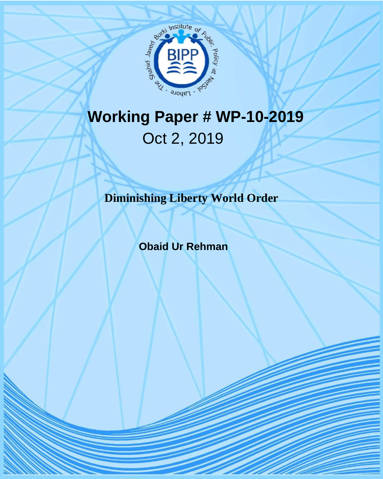

## **Working Paper # WP-10-2019** Oct 2, 2019

**Diminishing Liberty World Order**

 **Obaid Ur Rehman**

BIPP Issue Brief-04-2017 1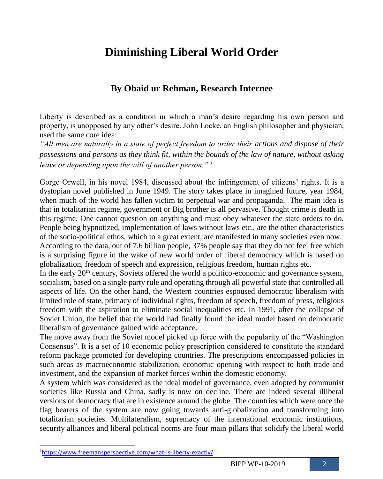## **Diminishing Liberal World Order**

## **By Obaid ur Rehman, Research Internee**

Liberty is described as a condition in which a man's desire regarding his own person and property, is unopposed by any other's desire. John Locke, an English philosopher and physician, used the same core idea:

*"All men are naturally in a state of perfect freedom to order their actions and dispose of their possessions and persons as they think fit, within the bounds of the law of nature, without asking leave or depending upon the will of another person." <sup>1</sup>*

Gorge Orwell, in his novel 1984, discussed about the infringement of citizens' rights. It is a dystopian novel published in June 1949. The story takes place in imagined future, year 1984, when much of the world has fallen victim to perpetual war and propaganda. The main idea is that in totalitarian regime, government or Big brother is all pervasive. Thought crime is death in this regime. One cannot question on anything and must obey whatever the state orders to do. People being hypnotized, implementation of laws without laws etc., are the other characteristics of the socio-political ethos, which to a great extent, are manifested in many societies even now.

According to the data, out of 7.6 billion people, 37% people say that they do not feel free which is a surprising figure in the wake of new world order of liberal democracy which is based on globalization, freedom of speech and expression, religious freedom, human rights etc.

In the early  $20<sup>th</sup>$  century, Soviets offered the world a politico-economic and governance system, socialism, based on a single party rule and operating through all powerful state that controlled all aspects of life. On the other hand, the Western countries espoused democratic liberalism with limited role of state, primacy of individual rights, freedom of speech, freedom of press, religious freedom with the aspiration to eliminate social inequalities etc. In 1991, after the collapse of Soviet Union, the belief that the world had finally found the ideal model based on democratic liberalism of governance gained wide acceptance.

The move away from the Soviet model picked up force with the popularity of the "Washington Consensus". It is a set of 10 economic policy prescription considered to constitute the standard reform package promoted for developing countries. The prescriptions encompassed policies in such areas as macroeconomic stabilization, economic opening with respect to both trade and investment, and the expansion of market forces within the domestic economy.

A system which was considered as the ideal model of governance, even adopted by communist societies like Russia and China, sadly is now on decline. There are indeed several illiberal versions of democracy that are in existence around the globe. The countries which were once the flag bearers of the system are now going towards anti-globalization and transforming into totalitarian societies. Multilateralism, supremacy of the international economic institutions, security alliances and liberal political norms are four main pillars that solidify the liberal world

 $\overline{a}$ 

<sup>1</sup><https://www.freemansperspective.com/what-is-liberty-exactly/>